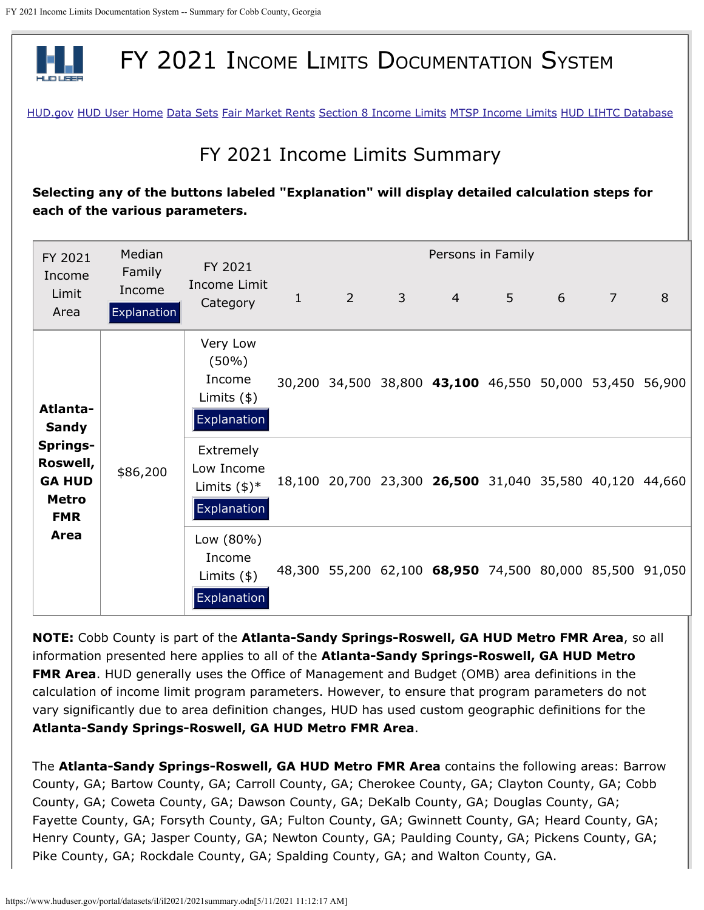

FY 2021 INCOME LIMITS DOCUMENTATION SYSTEM

[HUD.gov](https://www.hud.gov/) [HUD User Home](https://www.huduser.gov/portal/index.html) [Data Sets](https://www.huduser.gov/portal/datasets/pdrdatas.html) [Fair Market Rents](https://www.huduser.gov/portal/datasets/fmr.html) [Section 8 Income Limits](https://www.huduser.gov/portal/datasets/il.html) [MTSP Income Limits](https://www.huduser.gov/portal/datasets/mtsp.html) [HUD LIHTC Database](https://www.huduser.gov/portal/datasets/lihtc.html)

## FY 2021 Income Limits Summary

**Selecting any of the buttons labeled "Explanation" will display detailed calculation steps for each of the various parameters.**

| FY 2021<br>Income<br>Limit<br>Area                                                                             | Median<br>Family<br>Income<br><b>Explanation</b> | FY 2021<br>Income Limit<br>Category                                       | $\mathbf 1$ | $\overline{2}$ | $\mathbf{3}$ | Persons in Family<br>$\overline{4}$              | 5 | 6 | 7 | 8      |
|----------------------------------------------------------------------------------------------------------------|--------------------------------------------------|---------------------------------------------------------------------------|-------------|----------------|--------------|--------------------------------------------------|---|---|---|--------|
| Atlanta-<br><b>Sandy</b><br><b>Springs-</b><br>Roswell,<br><b>GA HUD</b><br><b>Metro</b><br><b>FMR</b><br>Area | \$86,200                                         | Very Low<br>$(50\%)$<br>Income<br>Limits $(\$)$<br>Explanation            |             |                |              | 30,200 34,500 38,800 43,100 46,550 50,000 53,450 |   |   |   | 56,900 |
|                                                                                                                |                                                  | Extremely<br>Low Income<br>Limits $(\frac{1}{2})^*$<br><b>Explanation</b> |             |                |              | 18,100 20,700 23,300 26,500 31,040 35,580 40,120 |   |   |   | 44,660 |
|                                                                                                                |                                                  | Low (80%)<br>Income<br>Limits $(*)$<br>Explanation                        |             |                |              | 48,300 55,200 62,100 68,950 74,500 80,000 85,500 |   |   |   | 91,050 |

**NOTE:** Cobb County is part of the **Atlanta-Sandy Springs-Roswell, GA HUD Metro FMR Area**, so all information presented here applies to all of the **Atlanta-Sandy Springs-Roswell, GA HUD Metro FMR Area**. HUD generally uses the Office of Management and Budget (OMB) area definitions in the calculation of income limit program parameters. However, to ensure that program parameters do not vary significantly due to area definition changes, HUD has used custom geographic definitions for the **Atlanta-Sandy Springs-Roswell, GA HUD Metro FMR Area**.

The **Atlanta-Sandy Springs-Roswell, GA HUD Metro FMR Area** contains the following areas: Barrow County, GA; Bartow County, GA; Carroll County, GA; Cherokee County, GA; Clayton County, GA; Cobb County, GA; Coweta County, GA; Dawson County, GA; DeKalb County, GA; Douglas County, GA; Fayette County, GA; Forsyth County, GA; Fulton County, GA; Gwinnett County, GA; Heard County, GA; Henry County, GA; Jasper County, GA; Newton County, GA; Paulding County, GA; Pickens County, GA; Pike County, GA; Rockdale County, GA; Spalding County, GA; and Walton County, GA.